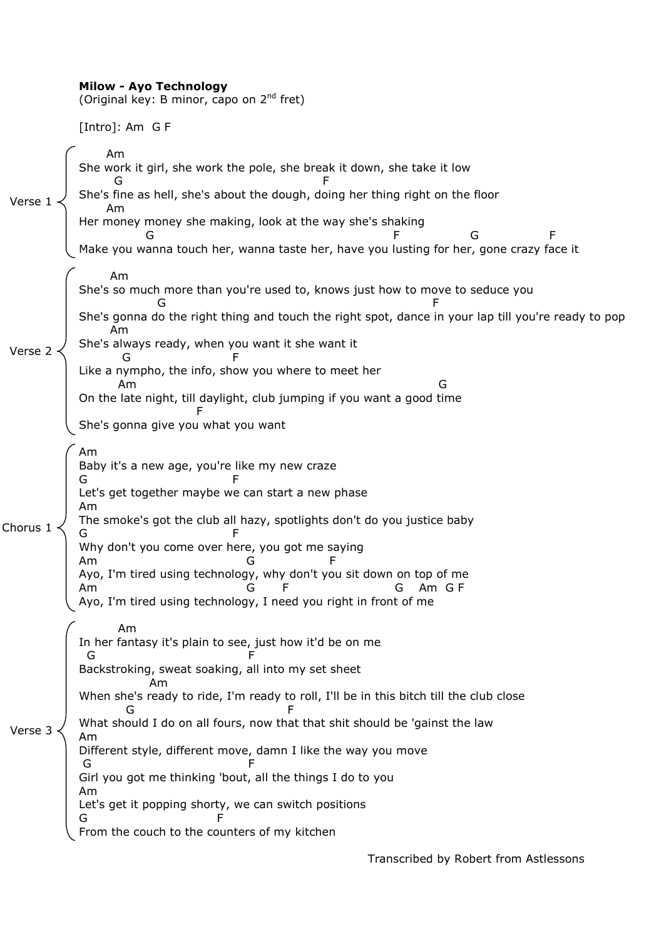|          | <b>Milow - Ayo Technology</b><br>(Original key: B minor, capo on 2 <sup>nd</sup> fret)                                                                                                                                                                                                                                                                                                                                                                                                                                                                                     |
|----------|----------------------------------------------------------------------------------------------------------------------------------------------------------------------------------------------------------------------------------------------------------------------------------------------------------------------------------------------------------------------------------------------------------------------------------------------------------------------------------------------------------------------------------------------------------------------------|
|          | [Intro]: Am G F                                                                                                                                                                                                                                                                                                                                                                                                                                                                                                                                                            |
| Verse 1  | Am<br>She work it girl, she work the pole, she break it down, she take it low<br>She's fine as hell, she's about the dough, doing her thing right on the floor<br>Am<br>Her money money she making, look at the way she's shaking<br>G<br>Make you wanna touch her, wanna taste her, have you lusting for her, gone crazy face it                                                                                                                                                                                                                                          |
| Verse 2  | Am<br>She's so much more than you're used to, knows just how to move to seduce you<br>She's gonna do the right thing and touch the right spot, dance in your lap till you're ready to pop<br>Am<br>She's always ready, when you want it she want it<br>G<br>Like a nympho, the info, show you where to meet her<br>Am<br>G<br>On the late night, till daylight, club jumping if you want a good time<br>She's gonna give you what you want                                                                                                                                 |
| Chorus 1 | Am<br>Baby it's a new age, you're like my new craze<br>Let's get together maybe we can start a new phase<br>Am<br>The smoke's got the club all hazy, spotlights don't do you justice baby<br>Why don't you come over here, you got me saying<br>Am<br>Ayo, I'm tired using technology, why don't you sit down on top of me<br>Am GF<br>G<br>Am<br>G<br>Ayo, I'm tired using technology, I need you right in front of me                                                                                                                                                    |
| Verse 3  | Am<br>In her fantasy it's plain to see, just how it'd be on me<br>G<br>Backstroking, sweat soaking, all into my set sheet<br>Am<br>When she's ready to ride, I'm ready to roll, I'll be in this bitch till the club close<br>G<br>What should I do on all fours, now that that shit should be 'gainst the law<br>Am<br>Different style, different move, damn I like the way you move<br>G<br>Girl you got me thinking 'bout, all the things I do to you<br>Am<br>Let's get it popping shorty, we can switch positions<br>G<br>From the couch to the counters of my kitchen |

Transcribed by Robert from Astlessons